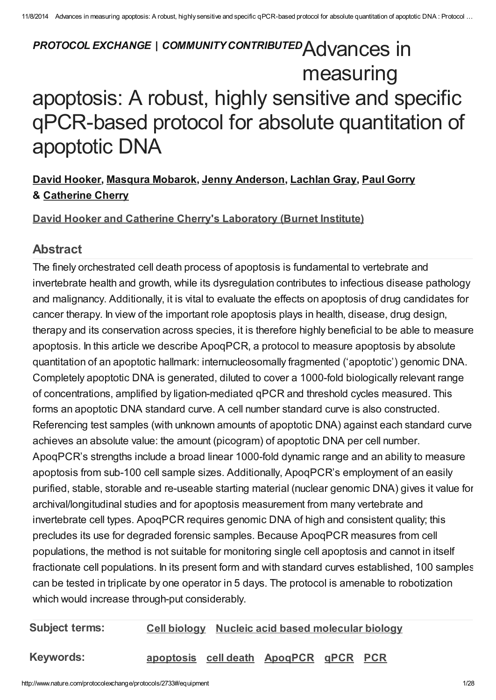# PROTOCOL EXCHANGE | COMMUNITY CONTRIBUTED Advances in measuring apoptosis: A robust, highly sensitive and specific qPCR-based protocol for absolute quantitation of apoptotic DNA

# David [Hooker,](javascript:;) Masqura [Mobarok](javascript:;), Jenny [Anderson](javascript:;), [Lachlan](javascript:;) Gray, Paul [Gorry](javascript:;) & [Catherine](javascript:;) Cherry

## David Hooker and Catherine Cherry's [Laboratory](http://www.nature.com/protocolexchange/labgroups/857) (Burnet Institute)

## Abstract

The finely orchestrated cell death process of apoptosis is fundamental to vertebrate and invertebrate health and growth, while its dysregulation contributes to infectious disease pathology and malignancy. Additionally, it is vital to evaluate the effects on apoptosis of drug candidates for cancer therapy. In view of the important role apoptosis plays in health, disease, drug design, therapy and its conservation across species, it is therefore highly beneficial to be able to measure apoptosis. In this article we describe ApoqPCR, a protocol to measure apoptosis by absolute quantitation of an apoptotic hallmark: internucleosomally fragmented ('apoptotic') genomic DNA. Completely apoptotic DNA is generated, diluted to cover a 1000-fold biologically relevant range of concentrations, amplified by ligation-mediated qPCR and threshold cycles measured. This forms an apoptotic DNA standard curve. A cell number standard curve is also constructed. Referencing test samples (with unknown amounts of apoptotic DNA) against each standard curve achieves an absolute value: the amount (picogram) of apoptotic DNA per cell number. ApoqPCR's strengths include a broad linear 1000-fold dynamic range and an ability to measure apoptosis from sub-100 cell sample sizes. Additionally, ApoqPCR's employment of an easily purified, stable, storable and re-useable starting material (nuclear genomic DNA) gives it value for archival/longitudinal studies and for apoptosis measurement from many vertebrate and invertebrate cell types. ApoqPCR requires genomic DNA of high and consistent quality; this precludes its use for degraded forensic samples. Because ApoqPCR measures from cell populations, the method is not suitable for monitoring single cell apoptosis and cannot in itself fractionate cell populations. In its present form and with standard curves established, 100 samples can be tested in triplicate by one operator in 5 days. The protocol is amenable to robotization which would increase through-put considerably.

Subject terms: Cell [biology](http://www.nature.com/protocolexchange/protocols?protocol_search%5Bfacets%5D%5Bcategory%5D=Cell+biology) Nucleic acid based [molecular](http://www.nature.com/protocolexchange/protocols?protocol_search%5Bfacets%5D%5Bcategory%5D=Nucleic+acid+based+molecular+biology) biology

Keywords: <u>[apoptosis](http://www.nature.com/protocolexchange/protocols?protocol_search%5Bfacets%5D%5Bkeyword%5D=apoptosis)</u> <u>cell [death](http://www.nature.com/protocolexchange/protocols?protocol_search%5Bfacets%5D%5Bkeyword%5D=cell+death)</u> [ApoqPCR](http://www.nature.com/protocolexchange/protocols?protocol_search%5Bfacets%5D%5Bkeyword%5D=ApoqPCR) [qPCR](http://www.nature.com/protocolexchange/protocols?protocol_search%5Bfacets%5D%5Bkeyword%5D=qPCR) [PCR](http://www.nature.com/protocolexchange/protocols?protocol_search%5Bfacets%5D%5Bkeyword%5D=PCR)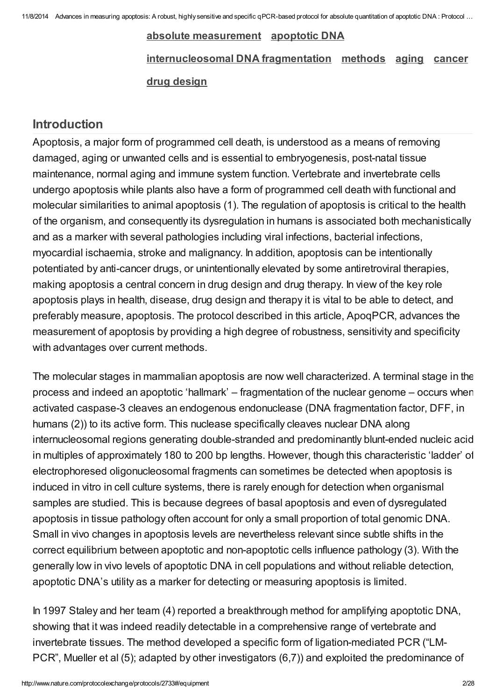# absolute [measurement](http://www.nature.com/protocolexchange/protocols?protocol_search%5Bfacets%5D%5Bkeyword%5D=absolute+measurement) [apoptotic](http://www.nature.com/protocolexchange/protocols?protocol_search%5Bfacets%5D%5Bkeyword%5D=apoptotic+DNA) DNA [internucleosomal](http://www.nature.com/protocolexchange/protocols?protocol_search%5Bfacets%5D%5Bkeyword%5D=internucleosomal+DNA+fragmentation) DNA fragmentation [methods](http://www.nature.com/protocolexchange/protocols?protocol_search%5Bfacets%5D%5Bkeyword%5D=methods) [aging](http://www.nature.com/protocolexchange/protocols?protocol_search%5Bfacets%5D%5Bkeyword%5D=aging) [cancer](http://www.nature.com/protocolexchange/protocols?protocol_search%5Bfacets%5D%5Bkeyword%5D=cancer) drug [design](http://www.nature.com/protocolexchange/protocols?protocol_search%5Bfacets%5D%5Bkeyword%5D=drug+design)

# [Introduction](javascript:;)

Apoptosis, a major form of programmed cell death, is understood as a means of removing damaged, aging or unwanted cells and is essential to embryogenesis, post-natal tissue maintenance, normal aging and immune system function. Vertebrate and invertebrate cells undergo apoptosis while plants also have a form of programmed cell death with functional and molecular similarities to animal apoptosis (1). The regulation of apoptosis is critical to the health of the organism, and consequently its dysregulation in humans is associated both mechanistically and as a marker with several pathologies including viral infections, bacterial infections, myocardial ischaemia, stroke and malignancy. In addition, apoptosis can be intentionally potentiated by anti-cancer drugs, or unintentionally elevated by some antiretroviral therapies, making apoptosis a central concern in drug design and drug therapy. In view of the key role apoptosis plays in health, disease, drug design and therapy it is vital to be able to detect, and preferably measure, apoptosis. The protocol described in this article, ApoqPCR, advances the measurement of apoptosis by providing a high degree of robustness, sensitivity and specificity with advantages over current methods.

The molecular stages in mammalian apoptosis are now well characterized. A terminal stage in the process and indeed an apoptotic 'hallmark' – fragmentation of the nuclear genome – occurs when activated caspase-3 cleaves an endogenous endonuclease (DNA fragmentation factor, DFF, in humans (2)) to its active form. This nuclease specifically cleaves nuclear DNA along internucleosomal regions generating double-stranded and predominantly blunt-ended nucleic acid in multiples of approximately 180 to 200 bp lengths. However, though this characteristic 'ladder' of electrophoresed oligonucleosomal fragments can sometimes be detected when apoptosis is induced in vitro in cell culture systems, there is rarely enough for detection when organismal samples are studied. This is because degrees of basal apoptosis and even of dysregulated apoptosis in tissue pathology often account for only a small proportion of total genomic DNA. Small in vivo changes in apoptosis levels are nevertheless relevant since subtle shifts in the correct equilibrium between apoptotic and non-apoptotic cells influence pathology (3). With the generally low in vivo levels of apoptotic DNA in cell populations and without reliable detection, apoptotic DNA's utility as a marker for detecting or measuring apoptosis is limited.

In 1997 Staley and her team (4) reported a breakthrough method for amplifying apoptotic DNA, showing that it was indeed readily detectable in a comprehensive range of vertebrate and invertebrate tissues. The method developed a specific form of ligation-mediated PCR ("LM-PCR", Mueller et al (5); adapted by other investigators (6,7)) and exploited the predominance of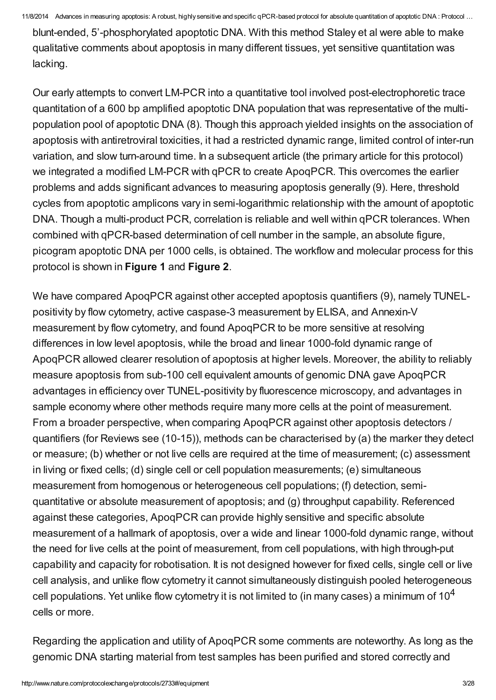blunt-ended, 5'-phosphorylated apoptotic DNA. With this method Staley et al were able to make qualitative comments about apoptosis in many different tissues, yet sensitive quantitation was lacking.

Our early attempts to convert LM-PCR into a quantitative tool involved post-electrophoretic trace quantitation of a 600 bp amplified apoptotic DNA population that was representative of the multipopulation pool of apoptotic DNA (8). Though this approach yielded insights on the association of apoptosis with antiretroviral toxicities, it had a restricted dynamic range, limited control of inter-run variation, and slow turn-around time. In a subsequent article (the primary article for this protocol) we integrated a modified LM-PCR with qPCR to create ApoqPCR. This overcomes the earlier problems and adds significant advances to measuring apoptosis generally (9). Here, threshold cycles from apoptotic amplicons vary in semi-logarithmic relationship with the amount of apoptotic DNA. Though a multi-product PCR, correlation is reliable and well within qPCR tolerances. When combined with qPCR-based determination of cell number in the sample, an absolute figure, picogram apoptotic DNA per 1000 cells, is obtained. The workflow and molecular process for this protocol is shown in [Figure](http://www.nature.com/protocolexchange/system/uploads/2686/original/Figure_1.jpg?1379815770) 1 and [Figure](http://www.nature.com/protocolexchange/system/uploads/2687/original/Figure_2.jpg?1379816325) 2.

We have compared ApoqPCR against other accepted apoptosis quantifiers (9), namely TUNELpositivity by flow cytometry, active caspase-3 measurement by ELISA, and Annexin-V measurement by flow cytometry, and found ApoqPCR to be more sensitive at resolving differences in low level apoptosis, while the broad and linear 1000-fold dynamic range of ApoqPCR allowed clearer resolution of apoptosis at higher levels. Moreover, the ability to reliably measure apoptosis from sub-100 cell equivalent amounts of genomic DNA gave ApoqPCR advantages in efficiency over TUNEL-positivity by fluorescence microscopy, and advantages in sample economy where other methods require many more cells at the point of measurement. From a broader perspective, when comparing ApoqPCR against other apoptosis detectors / quantifiers (for Reviews see (10-15)), methods can be characterised by (a) the marker they detect or measure; (b) whether or not live cells are required at the time of measurement; (c) assessment in living or fixed cells; (d) single cell or cell population measurements; (e) simultaneous measurement from homogenous or heterogeneous cell populations; (f) detection, semiquantitative or absolute measurement of apoptosis; and (g) throughput capability. Referenced against these categories, ApoqPCR can provide highly sensitive and specific absolute measurement of a hallmark of apoptosis, over a wide and linear 1000-fold dynamic range, without the need for live cells at the point of measurement, from cell populations, with high through-put capability and capacity for robotisation. It is not designed however for fixed cells, single cell or live cell analysis, and unlike flow cytometry it cannot simultaneously distinguish pooled heterogeneous cell populations. Yet unlike flow cytometry it is not limited to (in many cases) a minimum of 10<sup>4</sup> cells or more.

Regarding the application and utility of ApoqPCR some comments are noteworthy. As long as the genomic DNA starting material from test samples has been purified and stored correctly and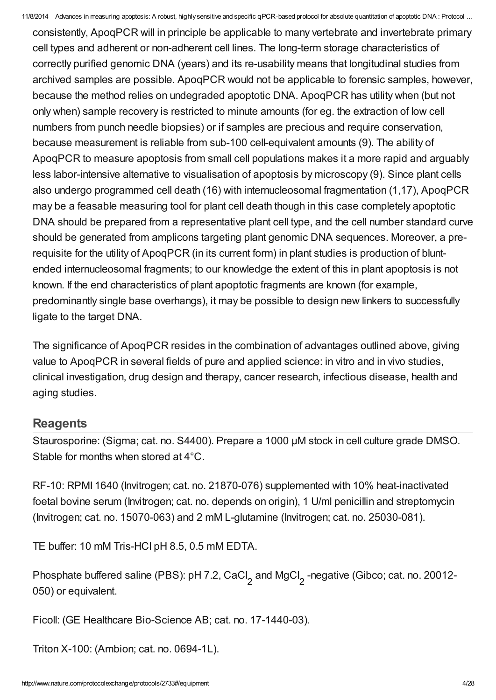consistently, ApoqPCR will in principle be applicable to many vertebrate and invertebrate primary cell types and adherent or non-adherent cell lines. The long-term storage characteristics of correctly purified genomic DNA (years) and its re-usability means that longitudinal studies from archived samples are possible. ApoqPCR would not be applicable to forensic samples, however, because the method relies on undegraded apoptotic DNA. ApoqPCR has utility when (but not only when) sample recovery is restricted to minute amounts (for eg. the extraction of low cell numbers from punch needle biopsies) or if samples are precious and require conservation, because measurement is reliable from sub-100 cell-equivalent amounts (9). The ability of ApoqPCR to measure apoptosis from small cell populations makes it a more rapid and arguably less labor-intensive alternative to visualisation of apoptosis by microscopy (9). Since plant cells also undergo programmed cell death (16) with internucleosomal fragmentation (1,17), ApoqPCR may be a feasable measuring tool for plant cell death though in this case completely apoptotic DNA should be prepared from a representative plant cell type, and the cell number standard curve should be generated from amplicons targeting plant genomic DNA sequences. Moreover, a prerequisite for the utility of ApoqPCR (in its current form) in plant studies is production of bluntended internucleosomal fragments; to our knowledge the extent of this in plant apoptosis is not known. If the end characteristics of plant apoptotic fragments are known (for example, predominantly single base overhangs), it may be possible to design new linkers to successfully ligate to the target DNA.

The significance of ApoqPCR resides in the combination of advantages outlined above, giving value to ApoqPCR in several fields of pure and applied science: in vitro and in vivo studies, clinical investigation, drug design and therapy, cancer research, infectious disease, health and aging studies.

## **[Reagents](javascript:;)**

Staurosporine: (Sigma; cat. no. S4400). Prepare a 1000 µM stock in cell culture grade DMSO. Stable for months when stored at 4°C.

RF-10: RPMI 1640 (Invitrogen; cat. no. 21870-076) supplemented with 10% heat-inactivated foetal bovine serum (Invitrogen; cat. no. depends on origin), 1 U/ml penicillin and streptomycin (Invitrogen; cat. no. 15070-063) and 2 mM L-glutamine (Invitrogen; cat. no. 25030-081).

TE buffer: 10 mM Tris-HCl pH 8.5, 0.5 mM EDTA.

Phosphate buffered saline (PBS): pH 7.2, CaCl<sub>2</sub> and MgCl<sub>2</sub> -negative (Gibco; cat. no. 20012-050) or equivalent.

Ficoll: (GE Healthcare Bio-Science AB; cat. no. 17-1440-03).

Triton X-100: (Ambion; cat. no. 0694-1L).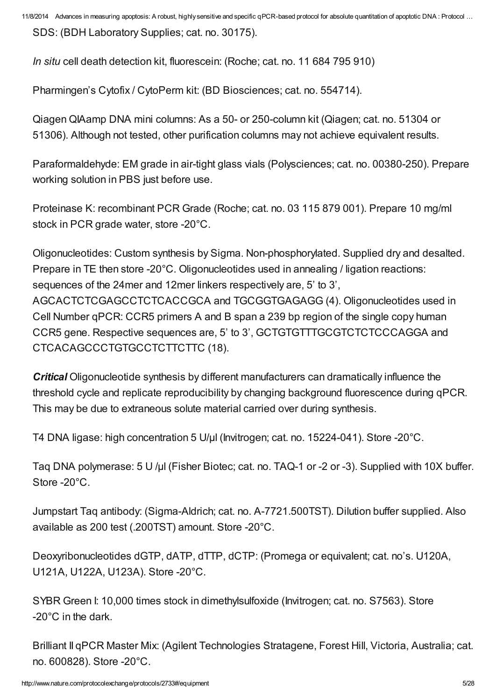SDS: (BDH Laboratory Supplies; cat. no. 30175).

In situ cell death detection kit, fluorescein: (Roche; cat. no. 11 684 795 910)

Pharmingen's Cytofix / CytoPerm kit: (BD Biosciences; cat. no. 554714).

Qiagen QIAamp DNA mini columns: As a 50- or 250-column kit (Qiagen; cat. no. 51304 or 51306). Although not tested, other purification columns may not achieve equivalent results.

Paraformaldehyde: EM grade in air-tight glass vials (Polysciences; cat. no. 00380-250). Prepare working solution in PBS just before use.

Proteinase K: recombinant PCR Grade (Roche; cat. no. 03 115 879 001). Prepare 10 mg/ml stock in PCR grade water, store -20°C.

Oligonucleotides: Custom synthesis by Sigma. Non-phosphorylated. Supplied dry and desalted. Prepare in TE then store -20°C. Oligonucleotides used in annealing / ligation reactions: sequences of the 24mer and 12mer linkers respectively are, 5' to 3', AGCACTCTCGAGCCTCTCACCGCA and TGCGGTGAGAGG (4). Oligonucleotides used in Cell Number qPCR: CCR5 primers A and B span a 239 bp region of the single copy human CCR5 gene. Respective sequences are, 5' to 3', GCTGTGTTTGCGTCTCTCCCAGGA and CTCACAGCCCTGTGCCTCTTCTTC (18).

**Critical** Oligonucleotide synthesis by different manufacturers can dramatically influence the threshold cycle and replicate reproducibility by changing background fluorescence during qPCR. This may be due to extraneous solute material carried over during synthesis.

T4 DNA ligase: high concentration 5 U/µl (Invitrogen; cat. no. 15224-041). Store -20°C.

Tag DNA polymerase: 5 U/µl (Fisher Biotec; cat. no. TAQ-1 or -2 or -3). Supplied with 10X buffer. Store -20°C.

Jumpstart Taq antibody: (Sigma-Aldrich; cat. no. A-7721.500TST). Dilution buffer supplied. Also available as 200 test (.200TST) amount. Store -20°C.

Deoxyribonucleotides dGTP, dATP, dTTP, dCTP: (Promega or equivalent; cat. no's. U120A, U121A, U122A, U123A). Store -20°C.

SYBR Green I: 10,000 times stock in dimethylsulfoxide (Invitrogen; cat. no. S7563). Store -20°C in the dark.

Brilliant II qPCR Master Mix: (Agilent Technologies Stratagene, Forest Hill, Victoria, Australia; cat. no. 600828). Store -20°C.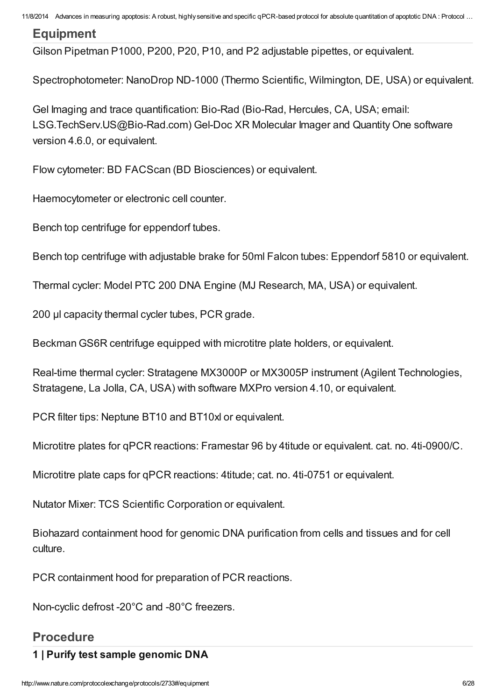## **[Equipment](javascript:;)**

Gilson Pipetman P1000, P200, P20, P10, and P2 adjustable pipettes, or equivalent.

Spectrophotometer: NanoDrop ND-1000 (Thermo Scientific, Wilmington, DE, USA) or equivalent.

Gel Imaging and trace quantification: Bio-Rad (Bio-Rad, Hercules, CA, USA; email: LSG.TechServ.US@Bio-Rad.com) Gel-Doc XR Molecular Imager and Quantity One software version 4.6.0, or equivalent.

Flow cytometer: BD FACScan (BD Biosciences) or equivalent.

Haemocytometer or electronic cell counter.

Bench top centrifuge for eppendorf tubes.

Bench top centrifuge with adjustable brake for 50ml Falcon tubes: Eppendorf 5810 or equivalent.

Thermal cycler: Model PTC 200 DNA Engine (MJ Research, MA, USA) or equivalent.

200 µl capacity thermal cycler tubes, PCR grade.

Beckman GS6R centrifuge equipped with microtitre plate holders, or equivalent.

Real-time thermal cycler: Stratagene MX3000P or MX3005P instrument (Agilent Technologies, Stratagene, La Jolla, CA, USA) with software MXPro version 4.10, or equivalent.

PCR filter tips: Neptune BT10 and BT10xl or equivalent.

Microtitre plates for qPCR reactions: Framestar 96 by 4titude or equivalent. cat. no. 4ti-0900/C.

Microtitre plate caps for qPCR reactions: 4titude; cat. no. 4ti-0751 or equivalent.

Nutator Mixer: TCS Scientific Corporation or equivalent.

Biohazard containment hood for genomic DNA purification from cells and tissues and for cell culture.

PCR containment hood for preparation of PCR reactions.

Non-cyclic defrost -20°C and -80°C freezers.

#### [Procedure](javascript:;)

#### 1 | Purify test sample genomic DNA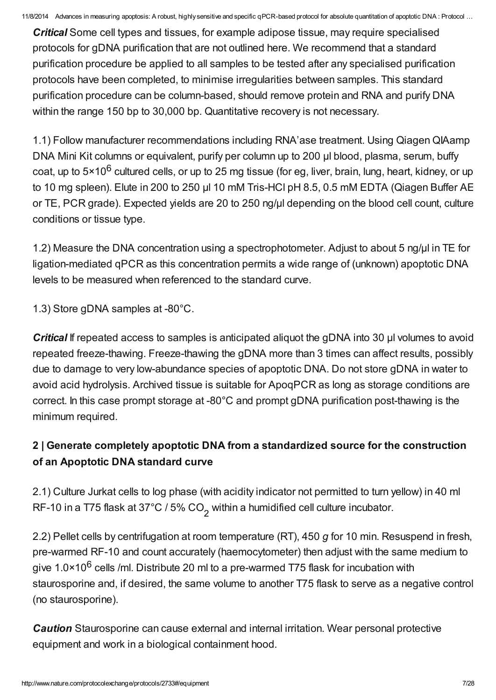**Critical** Some cell types and tissues, for example adipose tissue, may require specialised protocols for gDNA purification that are not outlined here. We recommend that a standard purification procedure be applied to all samples to be tested after any specialised purification protocols have been completed, to minimise irregularities between samples. This standard purification procedure can be column-based, should remove protein and RNA and purify DNA within the range 150 bp to 30,000 bp. Quantitative recovery is not necessary.

1.1) Follow manufacturer recommendations including RNA'ase treatment. Using Qiagen QIAamp DNA Mini Kit columns or equivalent, purify per column up to 200 µl blood, plasma, serum, buffy coat, up to 5×10<sup>6</sup> cultured cells, or up to 25 mg tissue (for eg, liver, brain, lung, heart, kidney, or up to 10 mg spleen). Elute in 200 to 250 µl 10 mM Tris-HCl pH 8.5, 0.5 mM EDTA (Qiagen Buffer AE or TE, PCR grade). Expected yields are 20 to 250 ng/µl depending on the blood cell count, culture conditions or tissue type.

1.2) Measure the DNA concentration using a spectrophotometer. Adjust to about 5 ng/µl in TE for ligation-mediated qPCR as this concentration permits a wide range of (unknown) apoptotic DNA levels to be measured when referenced to the standard curve.

1.3) Store gDNA samples at -80°C.

**Critical** If repeated access to samples is anticipated aliquot the gDNA into 30 µl volumes to avoid repeated freeze-thawing. Freeze-thawing the gDNA more than 3 times can affect results, possibly due to damage to very low-abundance species of apoptotic DNA. Do not store gDNA in water to avoid acid hydrolysis. Archived tissue is suitable for ApoqPCR as long as storage conditions are correct. In this case prompt storage at -80°C and prompt gDNA purification post-thawing is the minimum required.

# 2 | Generate completely apoptotic DNA from a standardized source for the construction of an Apoptotic DNA standard curve

2.1) Culture Jurkat cells to log phase (with acidity indicator not permitted to turn yellow) in 40 ml RF-10 in a T75 flask at 37°C / 5% CO<sub>2</sub> within a humidified cell culture incubator.

2.2) Pellet cells by centrifugation at room temperature (RT), 450 g for 10 min. Resuspend in fresh, pre-warmed RF-10 and count accurately (haemocytometer) then adjust with the same medium to give 1.0×10<sup>6</sup> cells /ml. Distribute 20 ml to a pre-warmed T75 flask for incubation with staurosporine and, if desired, the same volume to another T75 flask to serve as a negative control (no staurosporine).

**Caution** Staurosporine can cause external and internal irritation. Wear personal protective equipment and work in a biological containment hood.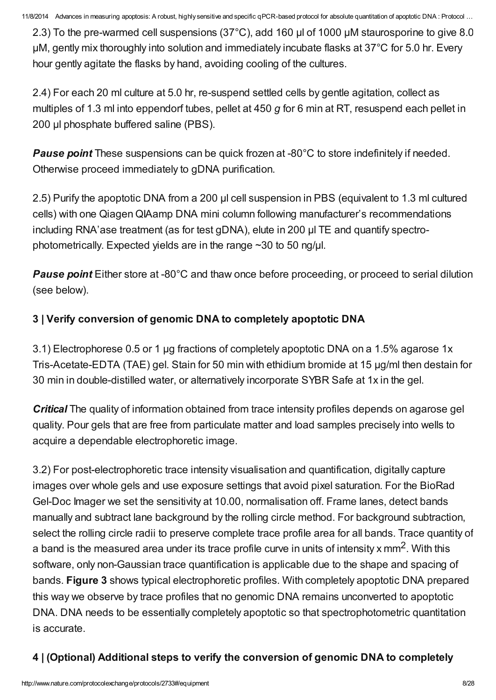2.3) To the pre-warmed cell suspensions (37°C), add 160 µl of 1000 µM staurosporine to give 8.0 µM, gently mix thoroughly into solution and immediately incubate flasks at 37°C for 5.0 hr. Every hour gently agitate the flasks by hand, avoiding cooling of the cultures.

2.4) For each 20 ml culture at 5.0 hr, re-suspend settled cells by gentle agitation, collect as multiples of 1.3 ml into eppendorf tubes, pellet at 450 g for 6 min at RT, resuspend each pellet in 200 ul phosphate buffered saline (PBS).

**Pause point** These suspensions can be quick frozen at -80°C to store indefinitely if needed. Otherwise proceed immediately to gDNA purification.

2.5) Purify the apoptotic DNA from a 200 µl cell suspension in PBS (equivalent to 1.3 ml cultured cells) with one Qiagen QIAamp DNA mini column following manufacturer's recommendations including RNA'ase treatment (as for test gDNA), elute in 200 µl TE and quantify spectrophotometrically. Expected yields are in the range ~30 to 50 ng/µl.

**Pause point** Either store at -80°C and thaw once before proceeding, or proceed to serial dilution (see below).

# 3 | Verify conversion of genomic DNA to completely apoptotic DNA

3.1) Electrophorese 0.5 or 1 µg fractions of completely apoptotic DNA on a 1.5% agarose 1x Tris-Acetate-EDTA (TAE) gel. Stain for 50 min with ethidium bromide at 15 µg/ml then destain for 30 min in double-distilled water, or alternatively incorporate SYBR Safe at 1x in the gel.

**Critical** The quality of information obtained from trace intensity profiles depends on agarose gel quality. Pour gels that are free from particulate matter and load samples precisely into wells to acquire a dependable electrophoretic image.

3.2) For post-electrophoretic trace intensity visualisation and quantification, digitally capture images over whole gels and use exposure settings that avoid pixel saturation. For the BioRad Gel-Doc Imager we set the sensitivity at 10.00, normalisation off. Frame lanes, detect bands manually and subtract lane background by the rolling circle method. For background subtraction, select the rolling circle radii to preserve complete trace profile area for all bands. Trace quantity of a band is the measured area under its trace profile curve in units of intensity x mm<sup>2</sup>. With this software, only non-Gaussian trace quantification is applicable due to the shape and spacing of bands. [Figure](http://www.nature.com/protocolexchange/system/uploads/2688/original/Figure_3.jpg?1379817776) 3 shows typical electrophoretic profiles. With completely apoptotic DNA prepared this way we observe by trace profiles that no genomic DNA remains unconverted to apoptotic DNA. DNA needs to be essentially completely apoptotic so that spectrophotometric quantitation is accurate.

# 4 | (Optional) Additional steps to verify the conversion of genomic DNA to completely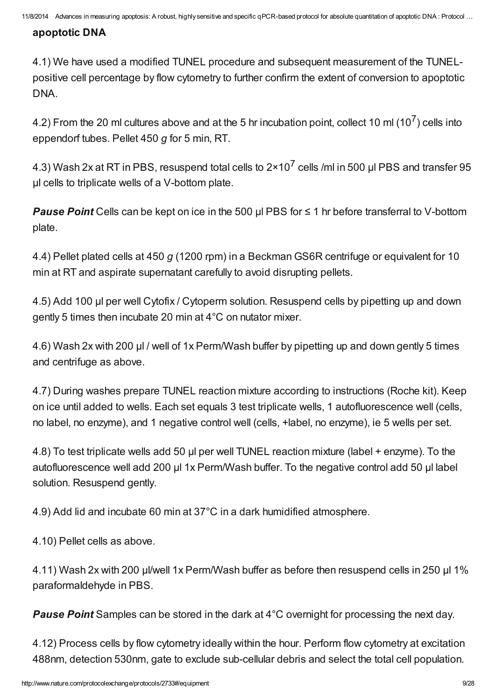## apoptotic DNA

4.1) We have used a modified TUNEL procedure and subsequent measurement of the TUNELpositive cell percentage by flow cytometry to further confirm the extent of conversion to apoptotic DNA.

4.2) From the 20 ml cultures above and at the 5 hr incubation point, collect 10 ml (10<sup>7</sup>) cells into eppendorf tubes. Pellet 450 g for 5 min, RT.

4.3) Wash 2x at RT in PBS, resuspend total cells to 2×10<sup>7</sup> cells /ml in 500 µl PBS and transfer 95 µl cells to triplicate wells of a V-bottom plate.

**Pause Point** Cells can be kept on ice in the 500  $\mu$  PBS for  $\leq$  1 hr before transferral to V-bottom plate.

4.4) Pellet plated cells at 450 g (1200 rpm) in a Beckman GS6R centrifuge or equivalent for 10 min at RT and aspirate supernatant carefully to avoid disrupting pellets.

4.5) Add 100 µl per well Cytofix / Cytoperm solution. Resuspend cells by pipetting up and down gently 5 times then incubate 20 min at 4°C on nutator mixer.

4.6) Wash 2x with 200 µl / well of 1x Perm/Wash buffer by pipetting up and down gently 5 times and centrifuge as above.

4.7) During washes prepare TUNEL reaction mixture according to instructions (Roche kit). Keep on ice until added to wells. Each set equals 3 test triplicate wells, 1 autofluorescence well (cells, no label, no enzyme), and 1 negative control well (cells, +label, no enzyme), ie 5 wells per set.

4.8) To test triplicate wells add 50 µl per well TUNEL reaction mixture (label + enzyme). To the autofluorescence well add 200 µl 1x Perm/Wash buffer. To the negative control add 50 µl label solution. Resuspend gently.

4.9) Add lid and incubate 60 min at 37°C in a dark humidified atmosphere.

4.10) Pellet cells as above.

4.11) Wash 2x with 200 µl/well 1x Perm/Wash buffer as before then resuspend cells in 250 µl 1% paraformaldehyde in PBS.

**Pause Point** Samples can be stored in the dark at 4<sup>°</sup>C overnight for processing the next day.

4.12) Process cells by flow cytometry ideally within the hour. Perform flow cytometry at excitation 488nm, detection 530nm, gate to exclude sub-cellular debris and select the total cell population.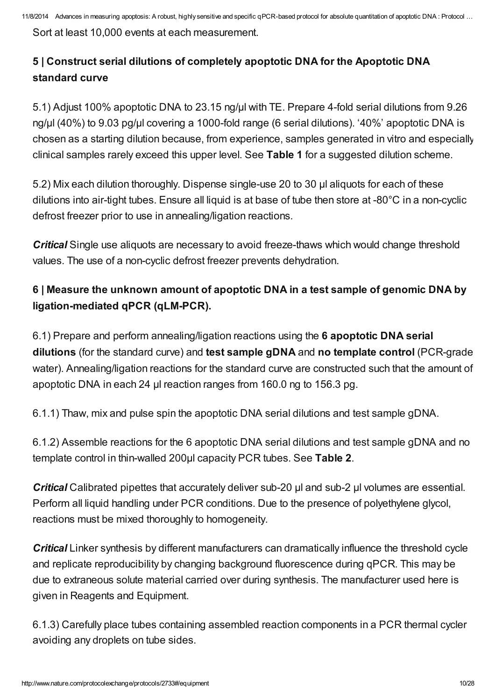Sort at least 10,000 events at each measurement.

# 5 | Construct serial dilutions of completely apoptotic DNA for the Apoptotic DNA standard curve

5.1) Adjust 100% apoptotic DNA to 23.15 ng/µl with TE. Prepare 4-fold serial dilutions from 9.26 ng/µl (40%) to 9.03 pg/µl covering a 1000-fold range (6 serial dilutions). '40%' apoptotic DNA is chosen as a starting dilution because, from experience, samples generated in vitro and especially clinical samples rarely exceed this upper level. See [Table](http://www.nature.com/protocolexchange/system/uploads/2693/original/Table_1.pdf?1379820818) 1 for a suggested dilution scheme.

5.2) Mix each dilution thoroughly. Dispense single-use 20 to 30 µl aliquots for each of these dilutions into air-tight tubes. Ensure all liquid is at base of tube then store at -80°C in a non-cyclic defrost freezer prior to use in annealing/ligation reactions.

**Critical** Single use aliquots are necessary to avoid freeze-thaws which would change threshold values. The use of a non-cyclic defrost freezer prevents dehydration.

# 6 | Measure the unknown amount of apoptotic DNA in a test sample of genomic DNA by ligation-mediated qPCR (qLM-PCR).

6.1) Prepare and perform annealing/ligation reactions using the 6 apoptotic DNA serial dilutions (for the standard curve) and test sample gDNA and no template control (PCR-grade water). Annealing/ligation reactions for the standard curve are constructed such that the amount of apoptotic DNA in each 24 µl reaction ranges from 160.0 ng to 156.3 pg.

6.1.1) Thaw, mix and pulse spin the apoptotic DNA serial dilutions and test sample gDNA.

6.1.2) Assemble reactions for the 6 apoptotic DNA serial dilutions and test sample gDNA and no template control in thin-walled 200µl capacity PCR tubes. See [Table](http://www.nature.com/protocolexchange/system/uploads/2694/original/Table_2.pdf?1379820913) 2.

Critical Calibrated pipettes that accurately deliver sub-20 µl and sub-2 µl volumes are essential. Perform all liquid handling under PCR conditions. Due to the presence of polyethylene glycol, reactions must be mixed thoroughly to homogeneity.

**Critical** Linker synthesis by different manufacturers can dramatically influence the threshold cycle and replicate reproducibility by changing background fluorescence during qPCR. This may be due to extraneous solute material carried over during synthesis. The manufacturer used here is given in Reagents and Equipment.

6.1.3) Carefully place tubes containing assembled reaction components in a PCR thermal cycler avoiding any droplets on tube sides.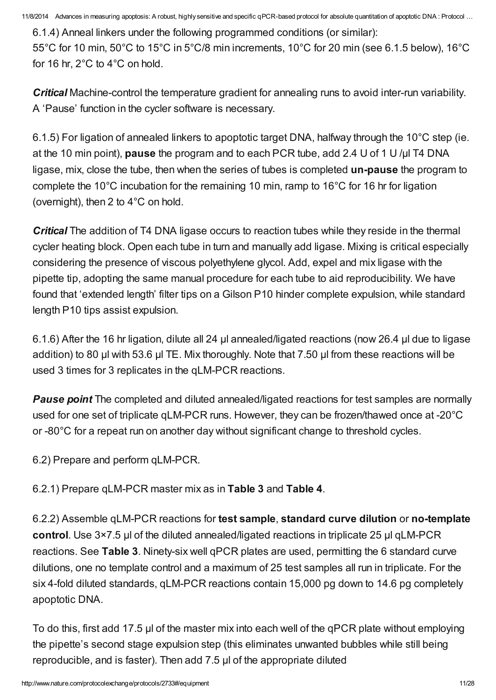6.1.4) Anneal linkers under the following programmed conditions (or similar): 55°C for 10 min, 50°C to 15°C in 5°C/8 min increments, 10°C for 20 min (see 6.1.5 below), 16°C for 16 hr, 2°C to 4°C on hold.

**Critical** Machine-control the temperature gradient for annealing runs to avoid inter-run variability. A 'Pause' function in the cycler software is necessary.

6.1.5) For ligation of annealed linkers to apoptotic target DNA, halfway through the 10°C step (ie. at the 10 min point), pause the program and to each PCR tube, add 2.4 U of 1 U/ul T4 DNA ligase, mix, close the tube, then when the series of tubes is completed un-pause the program to complete the 10°C incubation for the remaining 10 min, ramp to 16°C for 16 hr for ligation (overnight), then 2 to 4°C on hold.

**Critical** The addition of T4 DNA ligase occurs to reaction tubes while they reside in the thermal cycler heating block. Open each tube in turn and manually add ligase. Mixing is critical especially considering the presence of viscous polyethylene glycol. Add, expel and mix ligase with the pipette tip, adopting the same manual procedure for each tube to aid reproducibility. We have found that 'extended length' filter tips on a Gilson P10 hinder complete expulsion, while standard length P10 tips assist expulsion.

6.1.6) After the 16 hr ligation, dilute all 24 µl annealed/ligated reactions (now 26.4 µl due to ligase addition) to 80 µl with 53.6 µl TE. Mix thoroughly. Note that 7.50 µl from these reactions will be used 3 times for 3 replicates in the qLM-PCR reactions.

**Pause point** The completed and diluted annealed/ligated reactions for test samples are normally used for one set of triplicate qLM-PCR runs. However, they can be frozen/thawed once at -20°C or -80°C for a repeat run on another day without significant change to threshold cycles.

6.2) Prepare and perform qLM-PCR.

6.2.1) Prepare qLM-PCR master mix as in [Table](http://www.nature.com/protocolexchange/system/uploads/2695/original/Table_3.pdf?1379820960) 3 and [Table](http://www.nature.com/protocolexchange/system/uploads/2696/original/Table_4.pdf?1379821032) 4.

6.2.2) Assemble qLM-PCR reactions for test sample, standard curve dilution or no-template control. Use 3×7.5 µl of the diluted annealed/ligated reactions in triplicate 25 µl qLM-PCR reactions. See [Table](http://www.nature.com/protocolexchange/system/uploads/2695/original/Table_3.pdf?1379820960) 3. Ninety-six well qPCR plates are used, permitting the 6 standard curve dilutions, one no template control and a maximum of 25 test samples all run in triplicate. For the six 4-fold diluted standards, qLM-PCR reactions contain 15,000 pg down to 14.6 pg completely apoptotic DNA.

To do this, first add 17.5 µl of the master mix into each well of the qPCR plate without employing the pipette's second stage expulsion step (this eliminates unwanted bubbles while still being reproducible, and is faster). Then add 7.5 µl of the appropriate diluted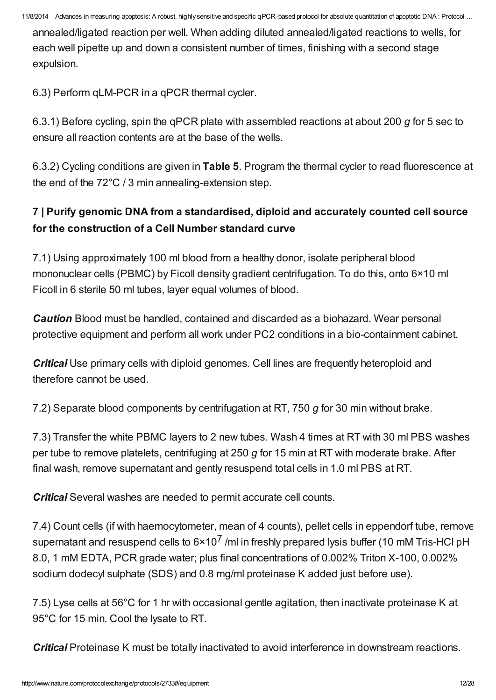annealed/ligated reaction per well. When adding diluted annealed/ligated reactions to wells, for each well pipette up and down a consistent number of times, finishing with a second stage expulsion.

6.3) Perform qLM-PCR in a qPCR thermal cycler.

6.3.1) Before cycling, spin the qPCR plate with assembled reactions at about 200 g for 5 sec to ensure all reaction contents are at the base of the wells.

6.3.2) Cycling conditions are given in [Table](http://www.nature.com/protocolexchange/system/uploads/2697/original/Table_5.pdf?1379821703) 5. Program the thermal cycler to read fluorescence at the end of the 72°C / 3 min annealing-extension step.

# 7 | Purify genomic DNA from a standardised, diploid and accurately counted cell source for the construction of a Cell Number standard curve

7.1) Using approximately 100 ml blood from a healthy donor, isolate peripheral blood mononuclear cells (PBMC) by Ficoll density gradient centrifugation. To do this, onto 6×10 ml Ficoll in 6 sterile 50 ml tubes, layer equal volumes of blood.

**Caution** Blood must be handled, contained and discarded as a biohazard. Wear personal protective equipment and perform all work under PC2 conditions in a bio-containment cabinet.

Critical Use primary cells with diploid genomes. Cell lines are frequently heteroploid and therefore cannot be used.

7.2) Separate blood components by centrifugation at RT, 750 g for 30 min without brake.

7.3) Transfer the white PBMC layers to 2 new tubes. Wash 4 times at RT with 30 ml PBS washes per tube to remove platelets, centrifuging at 250  $g$  for 15 min at RT with moderate brake. After final wash, remove supernatant and gently resuspend total cells in 1.0 ml PBS at RT.

**Critical** Several washes are needed to permit accurate cell counts.

7.4) Count cells (if with haemocytometer, mean of 4 counts), pellet cells in eppendorf tube, remove supernatant and resuspend cells to  $6 \times 10^7$  /ml in freshly prepared lysis buffer (10 mM Tris-HCl pH 8.0, 1 mM EDTA, PCR grade water; plus final concentrations of 0.002% Triton X-100, 0.002% sodium dodecyl sulphate (SDS) and 0.8 mg/ml proteinase K added just before use).

7.5) Lyse cells at 56°C for 1 hr with occasional gentle agitation, then inactivate proteinase K at 95°C for 15 min. Cool the lysate to RT.

**Critical** Proteinase K must be totally inactivated to avoid interference in downstream reactions.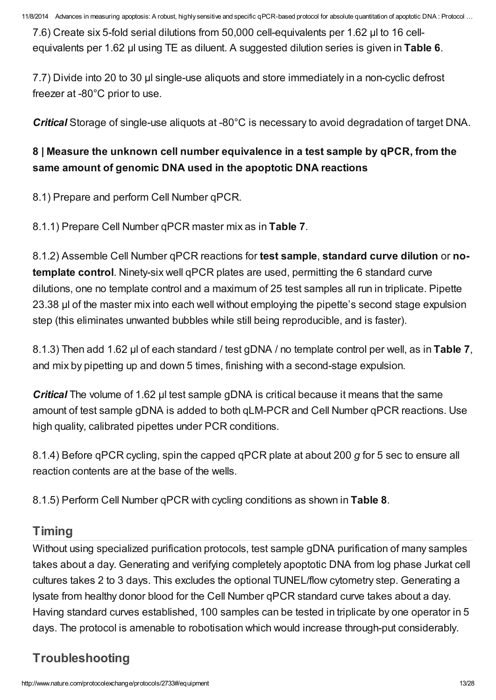7.6) Create six 5-fold serial dilutions from 50,000 cell-equivalents per 1.62 µl to 16 cell-equivalents per 1.62 µl using TE as diluent. A suggested dilution series is given in [Table](http://www.nature.com/protocolexchange/system/uploads/2698/original/Table_6.pdf?1379821763) 6.

7.7) Divide into 20 to 30 µl single-use aliquots and store immediately in a non-cyclic defrost freezer at -80°C prior to use.

Critical Storage of single-use aliquots at -80°C is necessary to avoid degradation of target DNA.

# 8 | Measure the unknown cell number equivalence in a test sample by qPCR, from the same amount of genomic DNA used in the apoptotic DNA reactions

8.1) Prepare and perform Cell Number qPCR.

8.1.1) Prepare Cell Number qPCR master mix as in [Table](http://www.nature.com/protocolexchange/system/uploads/2699/original/Table_7.pdf?1379821812) 7.

8.1.2) Assemble Cell Number qPCR reactions for test sample, standard curve dilution or notemplate control. Ninety-six well qPCR plates are used, permitting the 6 standard curve dilutions, one no template control and a maximum of 25 test samples all run in triplicate. Pipette 23.38 µl of the master mix into each well without employing the pipette's second stage expulsion step (this eliminates unwanted bubbles while still being reproducible, and is faster).

8.1.3) Then add 1.62 µl of each standard / test gDNA / no template control per well, as in [Table](http://www.nature.com/protocolexchange/system/uploads/2699/original/Table_7.pdf?1379821812) 7, and mix by pipetting up and down 5 times, finishing with a second-stage expulsion.

**Critical** The volume of 1.62 µl test sample gDNA is critical because it means that the same amount of test sample gDNA is added to both qLM-PCR and Cell Number qPCR reactions. Use high quality, calibrated pipettes under PCR conditions.

8.1.4) Before qPCR cycling, spin the capped qPCR plate at about 200 g for 5 sec to ensure all reaction contents are at the base of the wells.

8.1.5) Perform Cell Number qPCR with cycling conditions as shown in [Table](http://www.nature.com/protocolexchange/system/uploads/2700/original/Table_8.pdf?1379821867) 8.

# [Timing](javascript:;)

Without using specialized purification protocols, test sample gDNA purification of many samples takes about a day. Generating and verifying completely apoptotic DNA from log phase Jurkat cell cultures takes 2 to 3 days. This excludes the optional TUNEL/flow cytometry step. Generating a lysate from healthy donor blood for the Cell Number qPCR standard curve takes about a day. Having standard curves established, 100 samples can be tested in triplicate by one operator in 5 days. The protocol is amenable to robotisation which would increase through-put considerably.

# [Troubleshooting](javascript:;)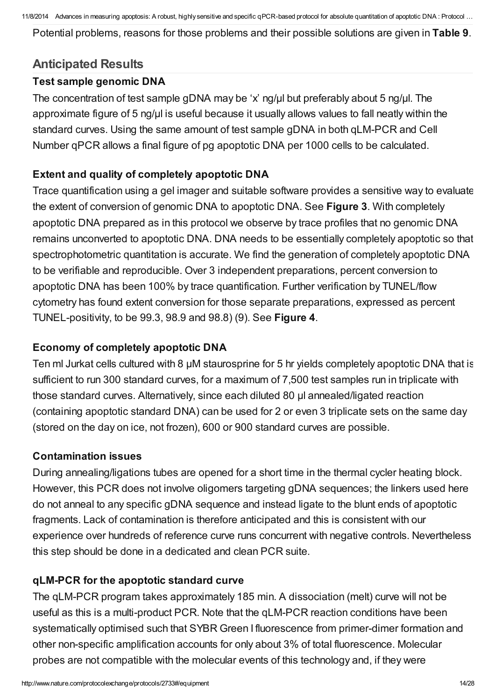Potential problems, reasons for those problems and their possible solutions are given in [Table](http://www.nature.com/protocolexchange/system/uploads/2701/original/Table_9.pdf?1379821979) 9.

## [Anticipated](javascript:;) Results

#### Test sample genomic DNA

The concentration of test sample gDNA may be 'x' ng/µl but preferably about 5 ng/µl. The approximate figure of 5 ng/ul is useful because it usually allows values to fall neatly within the standard curves. Using the same amount of test sample gDNA in both qLM-PCR and Cell Number qPCR allows a final figure of pg apoptotic DNA per 1000 cells to be calculated.

## Extent and quality of completely apoptotic DNA

Trace quantification using a gel imager and suitable software provides a sensitive way to evaluate the extent of conversion of genomic DNA to apoptotic DNA. See [Figure](http://www.nature.com/protocolexchange/system/uploads/2688/original/Figure_3.jpg?1379817776) 3. With completely apoptotic DNA prepared as in this protocol we observe by trace profiles that no genomic DNA remains unconverted to apoptotic DNA. DNA needs to be essentially completely apoptotic so that spectrophotometric quantitation is accurate. We find the generation of completely apoptotic DNA to be verifiable and reproducible. Over 3 independent preparations, percent conversion to apoptotic DNA has been 100% by trace quantification. Further verification by TUNEL/flow cytometry has found extent conversion for those separate preparations, expressed as percent TUNEL-positivity, to be 99.3, 98.9 and 98.8) (9). See [Figure](http://www.nature.com/protocolexchange/system/uploads/2690/original/Figure_4.jpg?1380345725) 4.

### Economy of completely apoptotic DNA

Ten ml Jurkat cells cultured with 8 µM staurosprine for 5 hr yields completely apoptotic DNA that is sufficient to run 300 standard curves, for a maximum of 7,500 test samples run in triplicate with those standard curves. Alternatively, since each diluted 80 µl annealed/ligated reaction (containing apoptotic standard DNA) can be used for 2 or even 3 triplicate sets on the same day (stored on the day on ice, not frozen), 600 or 900 standard curves are possible.

#### Contamination issues

During annealing/ligations tubes are opened for a short time in the thermal cycler heating block. However, this PCR does not involve oligomers targeting gDNA sequences; the linkers used here do not anneal to any specific gDNA sequence and instead ligate to the blunt ends of apoptotic fragments. Lack of contamination is therefore anticipated and this is consistent with our experience over hundreds of reference curve runs concurrent with negative controls. Nevertheless this step should be done in a dedicated and clean PCR suite.

## qLM-PCR for the apoptotic standard curve

The qLM-PCR program takes approximately 185 min. A dissociation (melt) curve will not be useful as this is a multi-product PCR. Note that the qLM-PCR reaction conditions have been systematically optimised such that SYBR Green I fluorescence from primer-dimer formation and other non-specific amplification accounts for only about 3% of total fluorescence. Molecular probes are not compatible with the molecular events of this technology and, if they were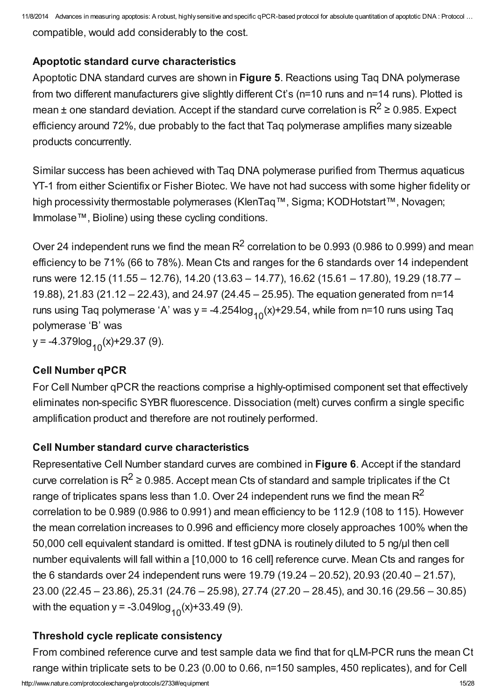compatible, would add considerably to the cost.

## Apoptotic standard curve characteristics

Apoptotic DNA standard curves are shown in [Figure](http://www.nature.com/protocolexchange/system/uploads/2691/original/Figure_5.jpg?1379820166) 5. Reactions using Taq DNA polymerase from two different manufacturers give slightly different Ct's (n=10 runs and n=14 runs). Plotted is mean  $\pm$  one standard deviation. Accept if the standard curve correlation is R<sup>2</sup>  $\geq$  0.985. Expect efficiency around 72%, due probably to the fact that Taq polymerase amplifies many sizeable products concurrently.

Similar success has been achieved with Taq DNA polymerase purified from Thermus aquaticus YT-1 from either Scientifix or Fisher Biotec. We have not had success with some higher fidelity or high processivity thermostable polymerases (KlenTaq™, Sigma; KODHotstart™, Novagen; Immolase™, Bioline) using these cycling conditions.

Over 24 independent runs we find the mean  $R^2$  correlation to be 0.993 (0.986 to 0.999) and mean efficiency to be 71% (66 to 78%). Mean Cts and ranges for the 6 standards over 14 independent runs were 12.15 (11.55 – 12.76), 14.20 (13.63 – 14.77), 16.62 (15.61 – 17.80), 19.29 (18.77 – 19.88), 21.83 (21.12 – 22.43), and 24.97 (24.45 – 25.95). The equation generated from n=14 runs using Taq polymerase 'A' was y = -4.254log<sub>10</sub>(x)+29.54, while from n=10 runs using Taq polymerase 'B' was y = -4.379log <sub>10</sub>(x)+29.37 (9).

## Cell Number qPCR

For Cell Number qPCR the reactions comprise a highly-optimised component set that effectively eliminates non-specific SYBR fluorescence. Dissociation (melt) curves confirm a single specific amplification product and therefore are not routinely performed.

## Cell Number standard curve characteristics

Representative Cell Number standard curves are combined in [Figure](http://www.nature.com/protocolexchange/system/uploads/2692/original/Figure_6.jpg?1379820474) 6. Accept if the standard curve correlation is R<sup>2</sup>  $\geq$  0.985. Accept mean Cts of standard and sample triplicates if the Ct range of triplicates spans less than 1.0. Over 24 independent runs we find the mean R<sup>2</sup> correlation to be 0.989 (0.986 to 0.991) and mean efficiency to be 112.9 (108 to 115). However the mean correlation increases to 0.996 and efficiency more closely approaches 100% when the 50,000 cell equivalent standard is omitted. If test gDNA is routinely diluted to 5 ng/μl then cell number equivalents will fall within a [10,000 to 16 cell] reference curve. Mean Cts and ranges for the 6 standards over 24 independent runs were 19.79 (19.24 – 20.52), 20.93 (20.40 – 21.57), 23.00 (22.45 – 23.86), 25.31 (24.76 – 25.98), 27.74 (27.20 – 28.45), and 30.16 (29.56 – 30.85) with the equation y = -3.049log<sub>10</sub>(x)+33.49 (9).

# Threshold cycle replicate consistency

From combined reference curve and test sample data we find that for qLM-PCR runs the mean Ct range within triplicate sets to be 0.23 (0.00 to 0.66, n=150 samples, 450 replicates), and for Cell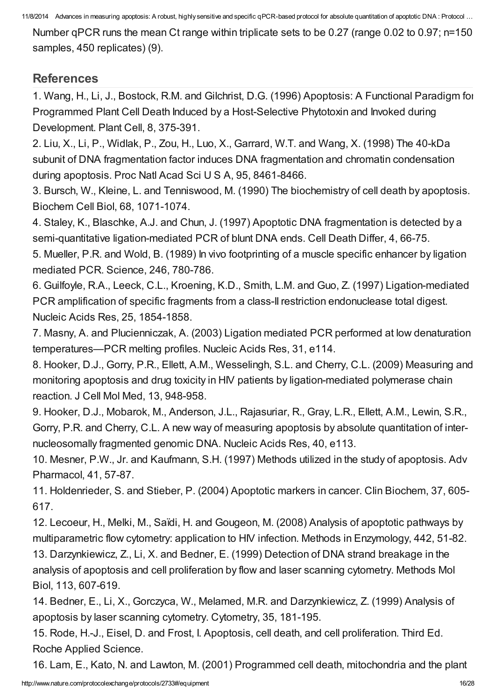Number qPCR runs the mean Ct range within triplicate sets to be 0.27 (range 0.02 to 0.97; n=150 samples, 450 replicates) (9).

# **[References](javascript:;)**

1. Wang, H., Li, J., Bostock, R.M. and Gilchrist, D.G. (1996) Apoptosis: A Functional Paradigm for Programmed Plant Cell Death Induced by a Host-Selective Phytotoxin and Invoked during Development. Plant Cell, 8, 375-391.

2. Liu, X., Li, P., Widlak, P., Zou, H., Luo, X., Garrard, W.T. and Wang, X. (1998) The 40-kDa subunit of DNA fragmentation factor induces DNA fragmentation and chromatin condensation during apoptosis. Proc Natl Acad Sci U S A, 95, 8461-8466.

3. Bursch, W., Kleine, L. and Tenniswood, M. (1990) The biochemistry of cell death by apoptosis. Biochem Cell Biol, 68, 1071-1074.

4. Staley, K., Blaschke, A.J. and Chun, J. (1997) Apoptotic DNA fragmentation is detected by a semi-quantitative ligation-mediated PCR of blunt DNA ends. Cell Death Differ, 4, 66-75.

5. Mueller, P.R. and Wold, B. (1989) In vivo footprinting of a muscle specific enhancer by ligation mediated PCR. Science, 246, 780-786.

6. Guilfoyle, R.A., Leeck, C.L., Kroening, K.D., Smith, L.M. and Guo, Z. (1997) Ligation-mediated PCR amplification of specific fragments from a class-II restriction endonuclease total digest. Nucleic Acids Res, 25, 1854-1858.

7. Masny, A. and Plucienniczak, A. (2003) Ligation mediated PCR performed at low denaturation temperatures—PCR melting profiles. Nucleic Acids Res, 31, e114.

8. Hooker, D.J., Gorry, P.R., Ellett, A.M., Wesselingh, S.L. and Cherry, C.L. (2009) Measuring and monitoring apoptosis and drug toxicity in HIV patients by ligation-mediated polymerase chain reaction. J Cell Mol Med, 13, 948-958.

9. Hooker, D.J., Mobarok, M., Anderson, J.L., Rajasuriar, R., Gray, L.R., Ellett, A.M., Lewin, S.R., Gorry, P.R. and Cherry, C.L. A new way of measuring apoptosis by absolute quantitation of internucleosomally fragmented genomic DNA. Nucleic Acids Res, 40, e113.

10. Mesner, P.W., Jr. and Kaufmann, S.H. (1997) Methods utilized in the study of apoptosis. Adv Pharmacol, 41, 57-87.

11. Holdenrieder, S. and Stieber, P. (2004) Apoptotic markers in cancer. Clin Biochem, 37, 605- 617.

12. Lecoeur, H., Melki, M., Saïdi, H. and Gougeon, M. (2008) Analysis of apoptotic pathways by multiparametric flow cytometry: application to HIV infection. Methods in Enzymology, 442, 51-82.

13. Darzynkiewicz, Z., Li, X. and Bedner, E. (1999) Detection of DNA strand breakage in the analysis of apoptosis and cell proliferation by flow and laser scanning cytometry. Methods Mol Biol, 113, 607-619.

14. Bedner, E., Li, X., Gorczyca, W., Melamed, M.R. and Darzynkiewicz, Z. (1999) Analysis of apoptosis by laser scanning cytometry. Cytometry, 35, 181-195.

15. Rode, H.-J., Eisel, D. and Frost, I. Apoptosis, cell death, and cell proliferation. Third Ed. Roche Applied Science.

16. Lam, E., Kato, N. and Lawton, M. (2001) Programmed cell death, mitochondria and the plant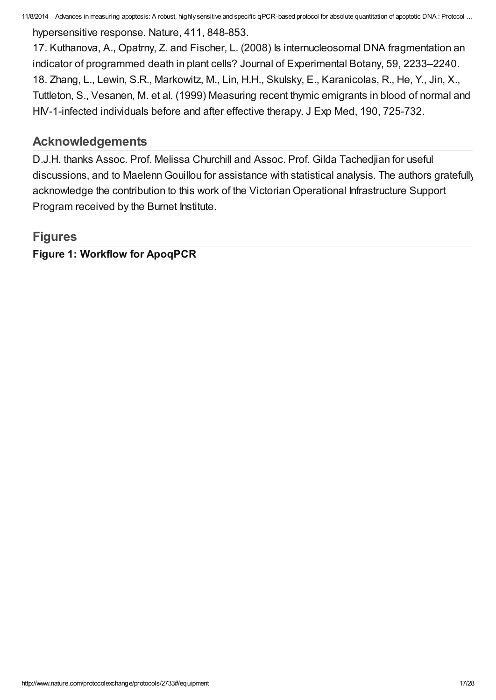hypersensitive response. Nature, 411, 848-853.

17. Kuthanova, A., Opatrny, Z. and Fischer, L. (2008) Is internucleosomal DNA fragmentation an indicator of programmed death in plant cells? Journal of Experimental Botany, 59, 2233–2240. 18. Zhang, L., Lewin, S.R., Markowitz, M., Lin, H.H., Skulsky, E., Karanicolas, R., He, Y., Jin, X., Tuttleton, S., Vesanen, M. et al. (1999) Measuring recent thymic emigrants in blood of normal and HIV-1-infected individuals before and after effective therapy. J Exp Med, 190, 725-732.

# [Acknowledgements](javascript:;)

D.J.H. thanks Assoc. Prof. Melissa Churchill and Assoc. Prof. Gilda Tachedjian for useful discussions, and to Maelenn Gouillou for assistance with statistical analysis. The authors gratefully acknowledge the contribution to this work of the Victorian Operational Infrastructure Support Program received by the Burnet Institute.

# **[Figures](javascript:;)**

Figure 1: Workflow for ApoqPCR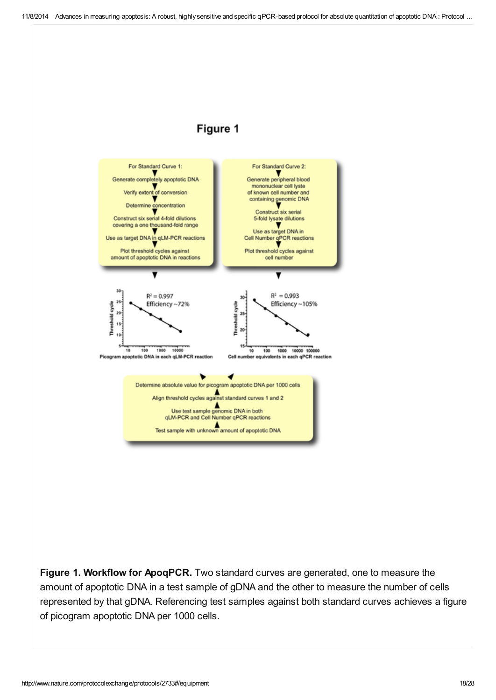## Figure 1



Figure 1. Workflow for ApoqPCR. Two standard curves are generated, one to measure the amount of apoptotic DNA in a test sample of gDNA and the other to measure the number of cells represented by that gDNA. Referencing test samples against both standard curves achieves a figure of picogram apoptotic DNA per 1000 cells.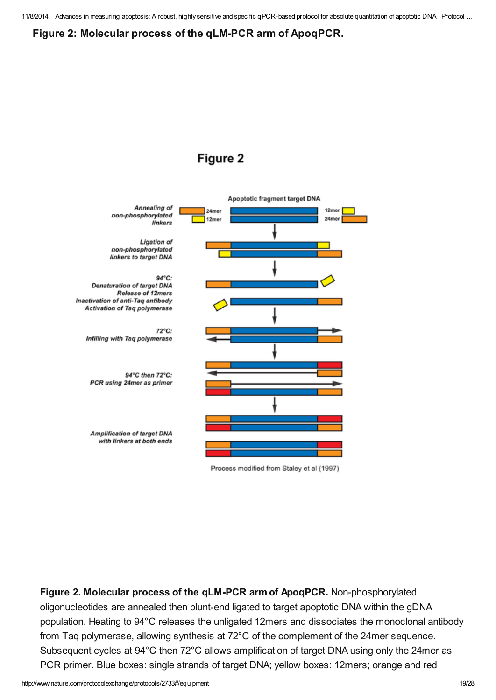#### Figure 2: Molecular process of the qLM-PCR arm of ApoqPCR.



Figure 2. Molecular process of the qLM-PCR arm of ApoqPCR. Non-phosphorylated oligonucleotides are annealed then blunt-end ligated to target apoptotic DNA within the gDNA population. Heating to 94°C releases the unligated 12mers and dissociates the monoclonal antibody from Taq polymerase, allowing synthesis at 72°C of the complement of the 24mer sequence. Subsequent cycles at 94°C then 72°C allows amplification of target DNA using only the 24mer as PCR primer. Blue boxes: single strands of target DNA; yellow boxes: 12mers; orange and red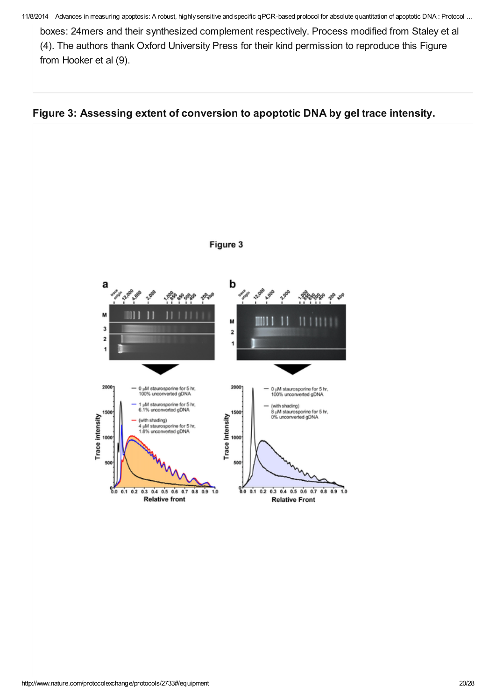boxes: 24mers and their synthesized complement respectively. Process modified from Staley et al (4). The authors thank Oxford University Press for their kind permission to reproduce this Figure from Hooker et al (9).



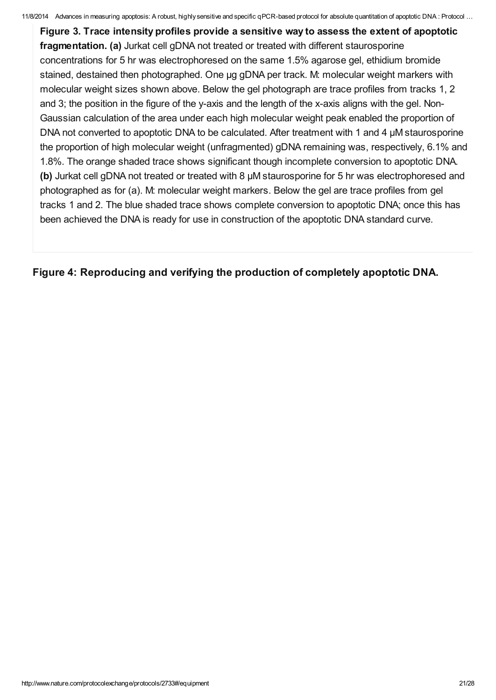Figure 3. Trace intensity profiles provide a sensitive way to assess the extent of apoptotic fragmentation. (a) Jurkat cell gDNA not treated or treated with different staurosporine concentrations for 5 hr was electrophoresed on the same 1.5% agarose gel, ethidium bromide stained, destained then photographed. One μg gDNA per track. M: molecular weight markers with molecular weight sizes shown above. Below the gel photograph are trace profiles from tracks 1, 2 and 3; the position in the figure of the y-axis and the length of the x-axis aligns with the gel. Non-Gaussian calculation of the area under each high molecular weight peak enabled the proportion of DNA not converted to apoptotic DNA to be calculated. After treatment with 1 and 4 μM staurosporine the proportion of high molecular weight (unfragmented) gDNA remaining was, respectively, 6.1% and 1.8%. The orange shaded trace shows significant though incomplete conversion to apoptotic DNA. (b) Jurkat cell gDNA not treated or treated with 8 µM staurosporine for 5 hr was electrophoresed and photographed as for (a). M: molecular weight markers. Below the gel are trace profiles from gel tracks 1 and 2. The blue shaded trace shows complete conversion to apoptotic DNA; once this has been achieved the DNA is ready for use in construction of the apoptotic DNA standard curve.

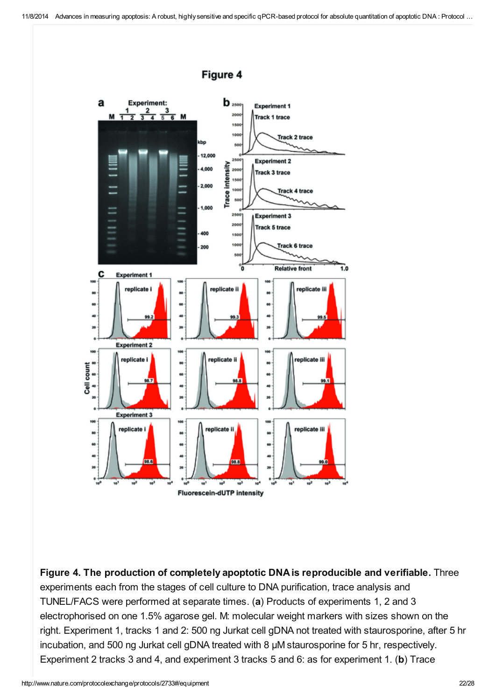

Figure 4. The production of completely apoptotic DNA is reproducible and verifiable. Three experiments each from the stages of cell culture to DNA purification, trace analysis and TUNEL/FACS were performed at separate times. (a) Products of experiments 1, 2 and 3 electrophorised on one 1.5% agarose gel. M: molecular weight markers with sizes shown on the right. Experiment 1, tracks 1 and 2: 500 ng Jurkat cell gDNA not treated with staurosporine, after 5 hr incubation, and 500 ng Jurkat cell gDNA treated with 8 μM staurosporine for 5 hr, respectively. Experiment 2 tracks 3 and 4, and experiment 3 tracks 5 and 6: as for experiment 1. (b) Trace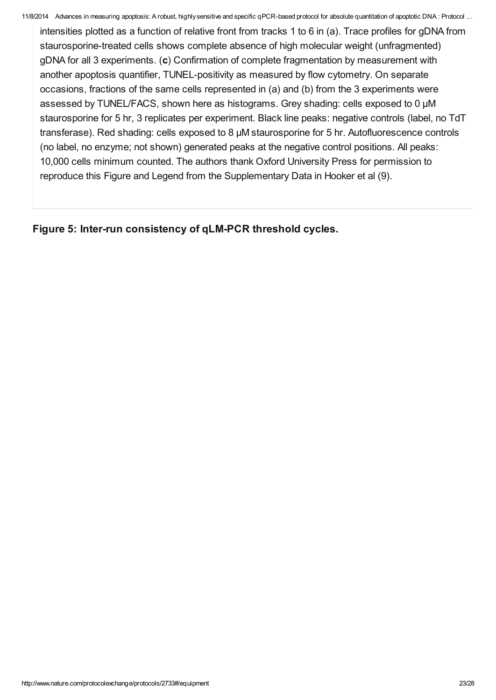intensities plotted as a function of relative front from tracks 1 to 6 in (a). Trace profiles for gDNA from staurosporine-treated cells shows complete absence of high molecular weight (unfragmented) gDNA for all 3 experiments. (c) Confirmation of complete fragmentation by measurement with another apoptosis quantifier, TUNEL-positivity as measured by flow cytometry. On separate occasions, fractions of the same cells represented in (a) and (b) from the 3 experiments were assessed by TUNEL/FACS, shown here as histograms. Grey shading: cells exposed to 0 μM staurosporine for 5 hr, 3 replicates per experiment. Black line peaks: negative controls (label, no TdT transferase). Red shading: cells exposed to 8 μM staurosporine for 5 hr. Autofluorescence controls (no label, no enzyme; not shown) generated peaks at the negative control positions. All peaks: 10,000 cells minimum counted. The authors thank Oxford University Press for permission to reproduce this Figure and Legend from the Supplementary Data in Hooker et al (9).

Figure 5: Inter-run consistency of qLM-PCR threshold cycles.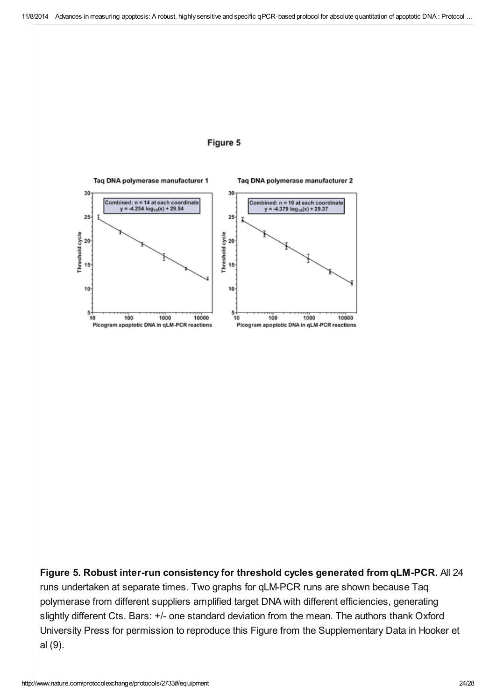



Figure 5. Robust inter-run consistency for threshold cycles generated from qLM-PCR. All 24 runs undertaken at separate times. Two graphs for qLM-PCR runs are shown because Taq polymerase from different suppliers amplified target DNA with different efficiencies, generating slightly different Cts. Bars: +/- one standard deviation from the mean. The authors thank Oxford University Press for permission to reproduce this Figure from the Supplementary Data in Hooker et al (9).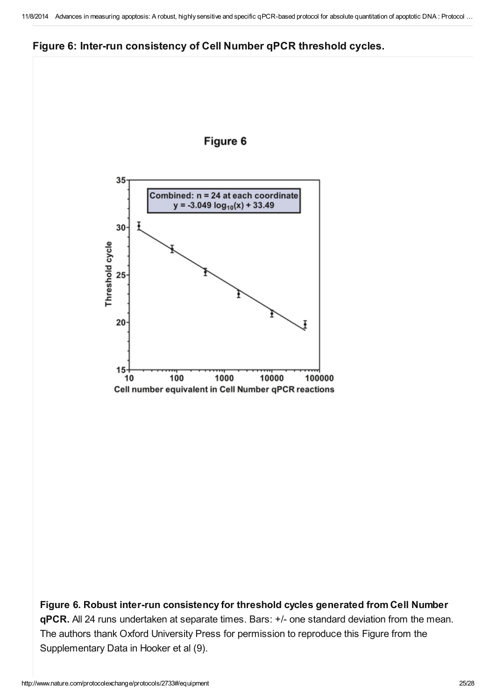



Figure 6. Robust inter-run consistency for threshold cycles generated from Cell Number qPCR. All 24 runs undertaken at separate times. Bars: +/- one standard deviation from the mean. The authors thank Oxford University Press for permission to reproduce this Figure from the Supplementary Data in Hooker et al (9).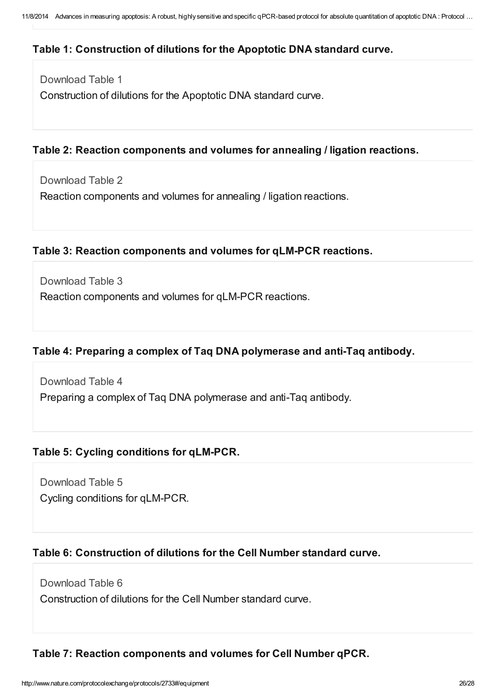#### Table 1: Construction of dilutions for the Apoptotic DNA standard curve.

[Download](http://www.nature.com/protocolexchange/system/uploads/2693/original/Table_1.pdf?1379820818) Table 1

Construction of dilutions for the Apoptotic DNA standard curve.

#### Table 2: Reaction components and volumes for annealing / ligation reactions.

[Download](http://www.nature.com/protocolexchange/system/uploads/2694/original/Table_2.pdf?1379820913) Table 2

Reaction components and volumes for annealing / ligation reactions.

#### Table 3: Reaction components and volumes for qLM-PCR reactions.

[Download](http://www.nature.com/protocolexchange/system/uploads/2695/original/Table_3.pdf?1379820960) Table 3

Reaction components and volumes for qLM-PCR reactions.

## Table 4: Preparing a complex of Taq DNA polymerase and anti-Taq antibody.

[Download](http://www.nature.com/protocolexchange/system/uploads/2696/original/Table_4.pdf?1379821032) Table 4 Preparing a complex of Taq DNA polymerase and anti-Taq antibody.

#### Table 5: Cycling conditions for qLM-PCR.

[Download](http://www.nature.com/protocolexchange/system/uploads/2697/original/Table_5.pdf?1379821703) Table 5 Cycling conditions for qLM-PCR.

#### Table 6: Construction of dilutions for the Cell Number standard curve.

[Download](http://www.nature.com/protocolexchange/system/uploads/2698/original/Table_6.pdf?1379821763) Table 6

Construction of dilutions for the Cell Number standard curve.

#### Table 7: Reaction components and volumes for Cell Number qPCR.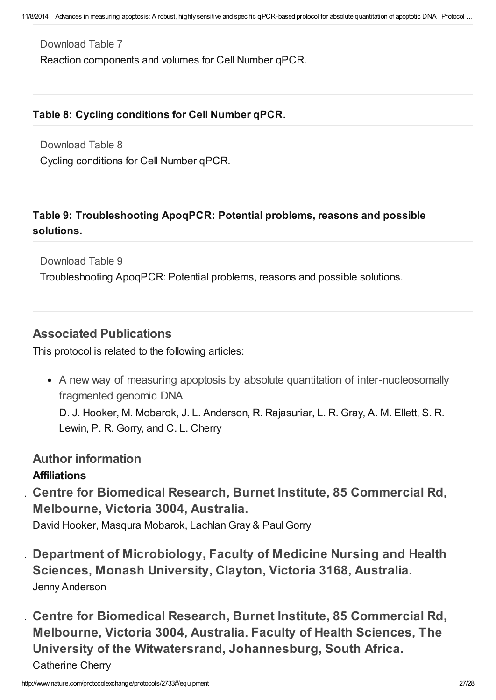[Download](http://www.nature.com/protocolexchange/system/uploads/2699/original/Table_7.pdf?1379821812) Table 7 Reaction components and volumes for Cell Number qPCR.

## Table 8: Cycling conditions for Cell Number qPCR.

[Download](http://www.nature.com/protocolexchange/system/uploads/2700/original/Table_8.pdf?1379821867) Table 8 Cycling conditions for Cell Number qPCR.

# Table 9: Troubleshooting ApoqPCR: Potential problems, reasons and possible solutions.

[Download](http://www.nature.com/protocolexchange/system/uploads/2701/original/Table_9.pdf?1379821979) Table 9

Troubleshooting ApoqPCR: Potential problems, reasons and possible solutions.

# Associated [Publications](javascript:;)

This protocol is related to the following articles:

• A new way of measuring apoptosis by absolute quantitation of [inter-nucleosomally](http://www.nature.com/protocolexchange/protocols/2733/publications/1850) fragmented genomic DNA

D. J. Hooker, M. Mobarok, J. L. Anderson, R. Rajasuriar, L. R. Gray, A. M. Ellett, S. R. Lewin, P. R. Gorry, and C. L. Cherry

## Author [information](javascript:;)

## Affiliations

1. Centre for Biomedical Research, Burnet Institute, 85 Commercial Rd, Melbourne, Victoria 3004, Australia.

David Hooker, Masqura Mobarok, Lachlan Gray & Paul Gorry

- 2. Department of Microbiology, Faculty of Medicine Nursing and Health Sciences, Monash University, Clayton, Victoria 3168, Australia. Jenny Anderson
- 3. Centre for Biomedical Research, Burnet Institute, 85 Commercial Rd, Melbourne, Victoria 3004, Australia. Faculty of Health Sciences, The University of the Witwatersrand, Johannesburg, South Africa. Catherine Cherry